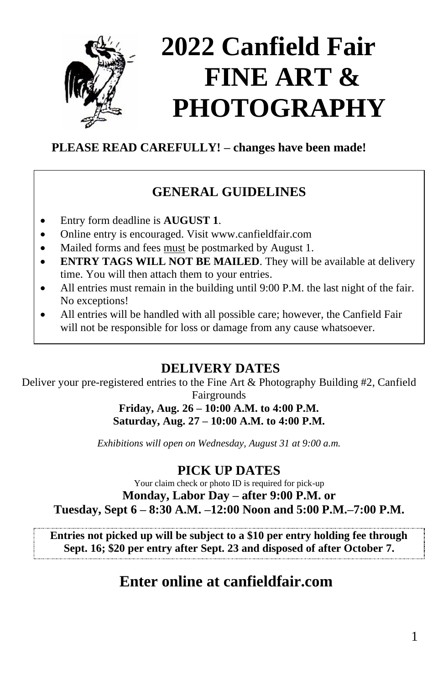

# **2022 Canfield Fair FINE ART & PHOTOGRAPHY**

# **PLEASE READ CAREFULLY! – changes have been made!**

# **GENERAL GUIDELINES**

- Entry form deadline is **AUGUST 1**.
- Online entry is encouraged. Visit www.canfieldfair.com
- Mailed forms and fees must be postmarked by August 1.
- **ENTRY TAGS WILL NOT BE MAILED**. They will be available at delivery time. You will then attach them to your entries.
- All entries must remain in the building until 9:00 P.M. the last night of the fair. No exceptions!
- All entries will be handled with all possible care; however, the Canfield Fair will not be responsible for loss or damage from any cause whatsoever.

# **DELIVERY DATES**

Deliver your pre-registered entries to the Fine Art & Photography Building #2, Canfield Fairgrounds

### **Friday, Aug. 26 – 10:00 A.M. to 4:00 P.M. Saturday, Aug. 27 – 10:00 A.M. to 4:00 P.M.**

*Exhibitions will open on Wednesday, August 31 at 9:00 a.m.*

# **PICK UP DATES**

Your claim check or photo ID is required for pick-up **Monday, Labor Day – after 9:00 P.M. or Tuesday, Sept 6 – 8:30 A.M. –12:00 Noon and 5:00 P.M.–7:00 P.M.**

**Entries not picked up will be subject to a \$10 per entry holding fee through Sept. 16; \$20 per entry after Sept. 23 and disposed of after October 7.**

# **Enter online at canfieldfair.com**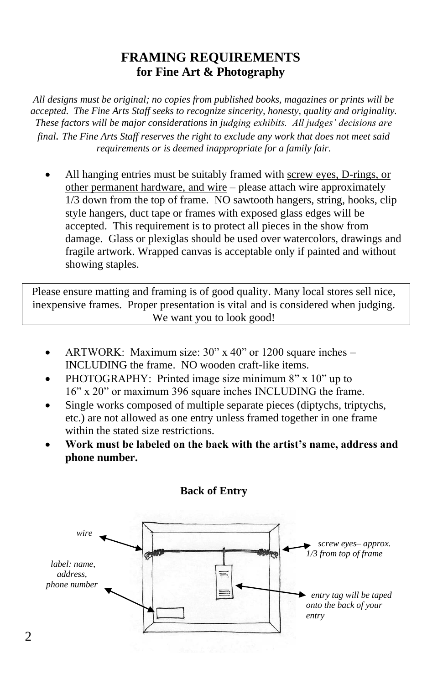# **FRAMING REQUIREMENTS for Fine Art & Photography**

*All designs must be original; no copies from published books, magazines or prints will be accepted. The Fine Arts Staff seeks to recognize sincerity, honesty, quality and originality. These factors will be major considerations in judging exhibits. All judges' decisions are final. The Fine Arts Staff reserves the right to exclude any work that does not meet said requirements or is deemed inappropriate for a family fair.*

• All hanging entries must be suitably framed with screw eyes, D-rings, or other permanent hardware, and wire – please attach wire approximately 1/3 down from the top of frame. NO sawtooth hangers, string, hooks, clip style hangers, duct tape or frames with exposed glass edges will be accepted. This requirement is to protect all pieces in the show from damage. Glass or plexiglas should be used over watercolors, drawings and fragile artwork. Wrapped canvas is acceptable only if painted and without showing staples.

Please ensure matting and framing is of good quality. Many local stores sell nice, inexpensive frames. Proper presentation is vital and is considered when judging. We want you to look good!

- ARTWORK: Maximum size: 30" x 40" or 1200 square inches INCLUDING the frame. NO wooden craft-like items.
- PHOTOGRAPHY: Printed image size minimum 8" x 10" up to 16" x 20" or maximum 396 square inches INCLUDING the frame.
- Single works composed of multiple separate pieces (diptychs, triptychs, etc.) are not allowed as one entry unless framed together in one frame within the stated size restrictions.
- **Work must be labeled on the back with the artist's name, address and phone number.**



**Back of Entry**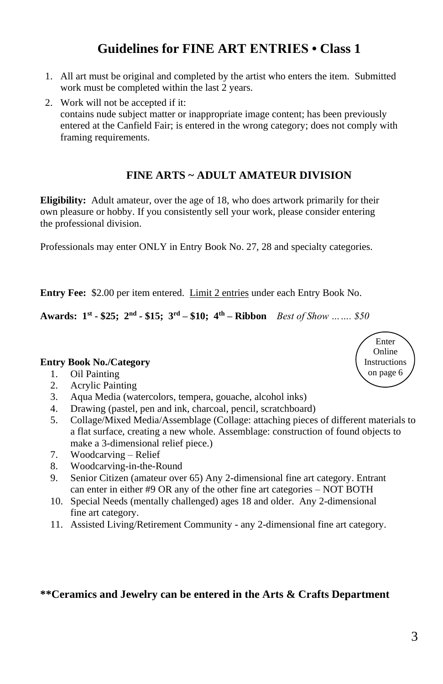# **Guidelines for FINE ART ENTRIES • Class 1**

- 1. All art must be original and completed by the artist who enters the item. Submitted work must be completed within the last 2 years.
- 2. Work will not be accepted if it: contains nude subject matter or inappropriate image content; has been previously entered at the Canfield Fair; is entered in the wrong category; does not comply with framing requirements.

#### **FINE ARTS ~ ADULT AMATEUR DIVISION**

**Eligibility:** Adult amateur, over the age of 18, who does artwork primarily for their own pleasure or hobby. If you consistently sell your work, please consider entering the professional division.

Professionals may enter ONLY in Entry Book No. 27, 28 and specialty categories.

**Entry Fee:** \$2.00 per item entered. Limit 2 entries under each Entry Book No.

**Awards: 1st - \$25; 2nd - \$15; 3rd – \$10; 4th – Ribbon** *Best of Show ……. \$50*

#### **Entry Book No./Category**

- 1. Oil Painting
- 2. Acrylic Painting
- 3. Aqua Media (watercolors, tempera, gouache, alcohol inks)
- 4. Drawing (pastel, pen and ink, charcoal, pencil, scratchboard)
- 5. Collage/Mixed Media/Assemblage (Collage: attaching pieces of different materials to a flat surface, creating a new whole. Assemblage: construction of found objects to make a 3-dimensional relief piece.)
- 7. Woodcarving Relief
- 8. Woodcarving-in-the-Round
- 9. Senior Citizen (amateur over 65) Any 2-dimensional fine art category. Entrant can enter in either #9 OR any of the other fine art categories – NOT BOTH
- 10. Special Needs (mentally challenged) ages 18 and older. Any 2-dimensional fine art category.
- 11. Assisted Living/Retirement Community any 2-dimensional fine art category.

#### **\*\*Ceramics and Jewelry can be entered in the Arts & Crafts Department**

Enter Online **Instructions** on page 6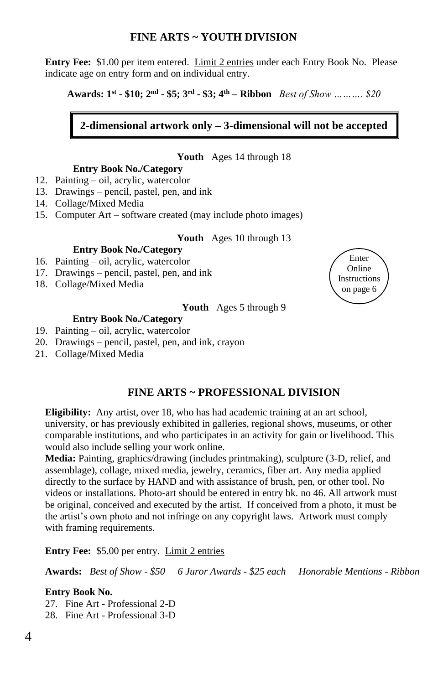#### **FINE ARTS ~ YOUTH DIVISION**

**Entry Fee:** \$1.00 per item entered. Limit 2 entries under each Entry Book No. Please indicate age on entry form and on individual entry.

**Awards: 1 st - \$10; 2 nd - \$5; 3 rd - \$3; 4 th – Ribbon** *Best of Show ………. \$20*

#### **2-dimensional artwork only – 3-dimensional will not be accepted**

#### **Youth** Ages 14 through 18

#### **Entry Book No./Category**

- 12. Painting oil, acrylic, watercolor
- 13. Drawings pencil, pastel, pen, and ink
- 14. Collage/Mixed Media
- 15. Computer Art software created (may include photo images)

#### **Youth** Ages 10 through 13

#### **Entry Book No./Category**

- 16. Painting oil, acrylic, watercolor
- 17. Drawings pencil, pastel, pen, and ink
- 18. Collage/Mixed Media

## Enter Online Instructions on page 6

#### **Youth** Ages 5 through 9

#### **Entry Book No./Category**

- 19. Painting oil, acrylic, watercolor
- 20. Drawings pencil, pastel, pen, and ink, crayon
- 21. Collage/Mixed Media

#### **FINE ARTS ~ PROFESSIONAL DIVISION**

**Eligibility:** Any artist, over 18, who has had academic training at an art school, university, or has previously exhibited in galleries, regional shows, museums, or other comparable institutions, and who participates in an activity for gain or livelihood. This would also include selling your work online.

**Media:** Painting, graphics/drawing (includes printmaking), sculpture (3-D, relief, and assemblage), collage, mixed media, jewelry, ceramics, fiber art. Any media applied directly to the surface by HAND and with assistance of brush, pen, or other tool. No videos or installations. Photo-art should be entered in entry bk. no 46. All artwork must be original, conceived and executed by the artist. If conceived from a photo, it must be the artist's own photo and not infringe on any copyright laws. Artwork must comply with framing requirements.

**Entry Fee:** \$5.00 per entry. Limit 2 entries

**Awards:** *Best of Show - \$50 6 Juror Awards - \$25 each Honorable Mentions - Ribbon*

#### **Entry Book No.**

27. Fine Art - Professional 2-D

28. Fine Art - Professional 3-D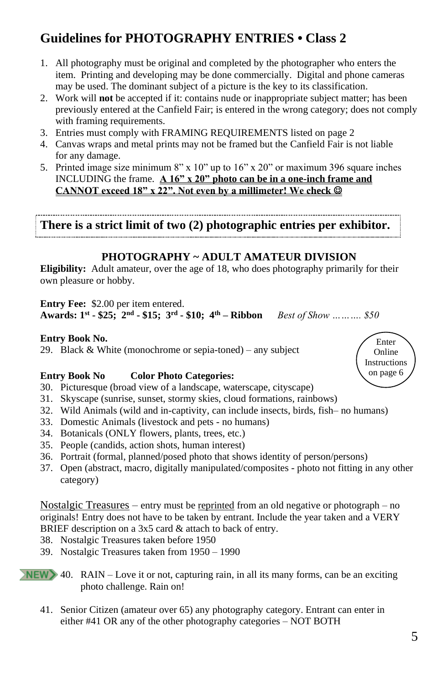# **Guidelines for PHOTOGRAPHY ENTRIES • Class 2**

- 1. All photography must be original and completed by the photographer who enters the item. Printing and developing may be done commercially. Digital and phone cameras may be used. The dominant subject of a picture is the key to its classification.
- 2. Work will **not** be accepted if it: contains nude or inappropriate subject matter; has been previously entered at the Canfield Fair; is entered in the wrong category; does not comply with framing requirements.
- 3. Entries must comply with FRAMING REQUIREMENTS listed on page 2
- 4. Canvas wraps and metal prints may not be framed but the Canfield Fair is not liable for any damage.
- 5. Printed image size minimum 8" x  $10$ " up to  $16$ " x  $20$ " or maximum 396 square inches INCLUDING the frame. **A 16" x 20" photo can be in a one-inch frame and CANNOT exceed 18" x 22". Not even by a millimeter! We check** ☺

**There is a strict limit of two (2) photographic entries per exhibitor.**

#### **PHOTOGRAPHY ~ ADULT AMATEUR DIVISION**

**Eligibility:** Adult amateur, over the age of 18, who does photography primarily for their own pleasure or hobby.

**Entry Fee:** \$2.00 per item entered.

**Awards: 1 st - \$25; 2nd - \$15; 3rd - \$10; 4th – Ribbon** *Best of Show ………. \$50*

#### **Entry Book No.**

29. Black & White (monochrome or sepia-toned) – any subject

#### **Entry Book No Color Photo Categories:**

- 30. Picturesque (broad view of a landscape, waterscape, cityscape)
- 31. Skyscape (sunrise, sunset, stormy skies, cloud formations, rainbows)
- 32. Wild Animals (wild and in-captivity, can include insects, birds, fish– no humans)
- 33. Domestic Animals (livestock and pets no humans)
- 34. Botanicals (ONLY flowers, plants, trees, etc.)
- 35. People (candids, action shots, human interest)
- 36. Portrait (formal, planned/posed photo that shows identity of person/persons)
- 37. Open (abstract, macro, digitally manipulated/composites photo not fitting in any other category)

Nostalgic Treasures – entry must be reprinted from an old negative or photograph – no originals! Entry does not have to be taken by entrant. Include the year taken and a VERY BRIEF description on a 3x5 card & attach to back of entry.

- 38. Nostalgic Treasures taken before 1950
- 39. Nostalgic Treasures taken from 1950 1990
- 40. RAIN Love it or not, capturing rain, in all its many forms, can be an exciting photo challenge. Rain on!
	- 41. Senior Citizen (amateur over 65) any photography category. Entrant can enter in either #41 OR any of the other photography categories – NOT BOTH

Enter Online Instructions on page 6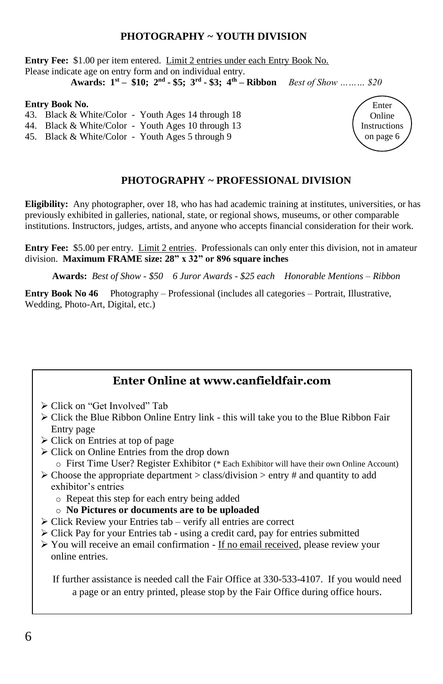#### **PHOTOGRAPHY ~ YOUTH DIVISION**

**Entry Fee:** \$1.00 per item entered. Limit 2 entries under each Entry Book No. Please indicate age on entry form and on individual entry.

**Awards: 1st – \$10; 2nd - \$5; 3rd - \$3; 4th – Ribbon** *Best of Show ……… \$20*

#### **Entry Book No.**

- 43. Black & White/Color Youth Ages 14 through 18
- 44. Black & White/Color Youth Ages 10 through 13
- 45. Black & White/Color Youth Ages 5 through 9

#### **PHOTOGRAPHY ~ PROFESSIONAL DIVISION**

Enter Online Instructions on page 6

**Eligibility:** Any photographer, over 18, who has had academic training at institutes, universities, or has previously exhibited in galleries, national, state, or regional shows, museums, or other comparable institutions. Instructors, judges, artists, and anyone who accepts financial consideration for their work.

**Entry Fee:** \$5.00 per entry. Limit 2 entries. Professionals can only enter this division, not in amateur division. **Maximum FRAME size: 28" x 32" or 896 square inches**

**Awards:** *Best of Show - \$50 6 Juror Awards - \$25 each Honorable Mentions – Ribbon*

**Entry Book No 46** Photography – Professional (includes all categories – Portrait, Illustrative, Wedding, Photo-Art, Digital, etc.)

#### **Enter Online at www.canfieldfair.com**

- ➢ Click on "Get Involved" Tab
- ➢ Click the Blue Ribbon Online Entry link this will take you to the Blue Ribbon Fair Entry page
- ➢ Click on Entries at top of page
- ➢ Click on Online Entries from the drop down
	- o First Time User? Register Exhibitor (\* Each Exhibitor will have their own Online Account)
- $\triangleright$  Choose the appropriate department  $\triangleright$  class/division  $\triangleright$  entry # and quantity to add exhibitor's entries
	- o Repeat this step for each entry being added
	- o **No Pictures or documents are to be uploaded**
- ➢ Click Review your Entries tab verify all entries are correct
- ➢ Click Pay for your Entries tab using a credit card, pay for entries submitted
- ➢ You will receive an email confirmation If no email received, please review your online entries.

If further assistance is needed call the Fair Office at 330-533-4107. If you would need a page or an entry printed, please stop by the Fair Office during office hours.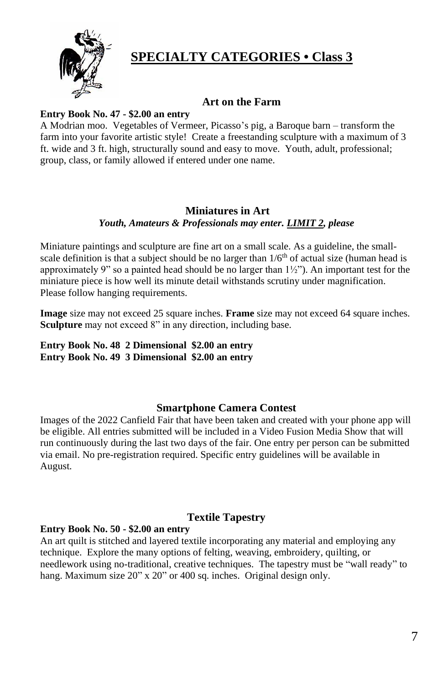

# **SPECIALTY CATEGORIES • Class 3**

#### **Art on the Farm**

#### **Entry Book No. 47 - \$2.00 an entry**

A Modrian moo. Vegetables of Vermeer, Picasso's pig, a Baroque barn – transform the farm into your favorite artistic style! Create a freestanding sculpture with a maximum of 3 ft. wide and 3 ft. high, structurally sound and easy to move. Youth, adult, professional; group, class, or family allowed if entered under one name.

#### **Miniatures in Art**  *Youth, Amateurs & Professionals may enter. LIMIT 2, please*

Miniature paintings and sculpture are fine art on a small scale. As a guideline, the smallscale definition is that a subject should be no larger than  $1/6<sup>th</sup>$  of actual size (human head is approximately 9" so a painted head should be no larger than  $1\frac{1}{2}$ "). An important test for the miniature piece is how well its minute detail withstands scrutiny under magnification. Please follow hanging requirements.

**Image** size may not exceed 25 square inches. **Frame** size may not exceed 64 square inches. Sculpture may not exceed 8" in any direction, including base.

#### **Entry Book No. 48 2 Dimensional \$2.00 an entry Entry Book No. 49 3 Dimensional \$2.00 an entry**

#### **Smartphone Camera Contest**

Images of the 2022 Canfield Fair that have been taken and created with your phone app will be eligible. All entries submitted will be included in a Video Fusion Media Show that will run continuously during the last two days of the fair. One entry per person can be submitted via email. No pre-registration required. Specific entry guidelines will be available in August.

#### **Textile Tapestry**

#### **Entry Book No. 50 - \$2.00 an entry**

An art quilt is stitched and layered textile incorporating any material and employing any technique. Explore the many options of felting, weaving, embroidery, quilting, or needlework using no-traditional, creative techniques. The tapestry must be "wall ready" to hang. Maximum size 20" x 20" or 400 sq. inches. Original design only.